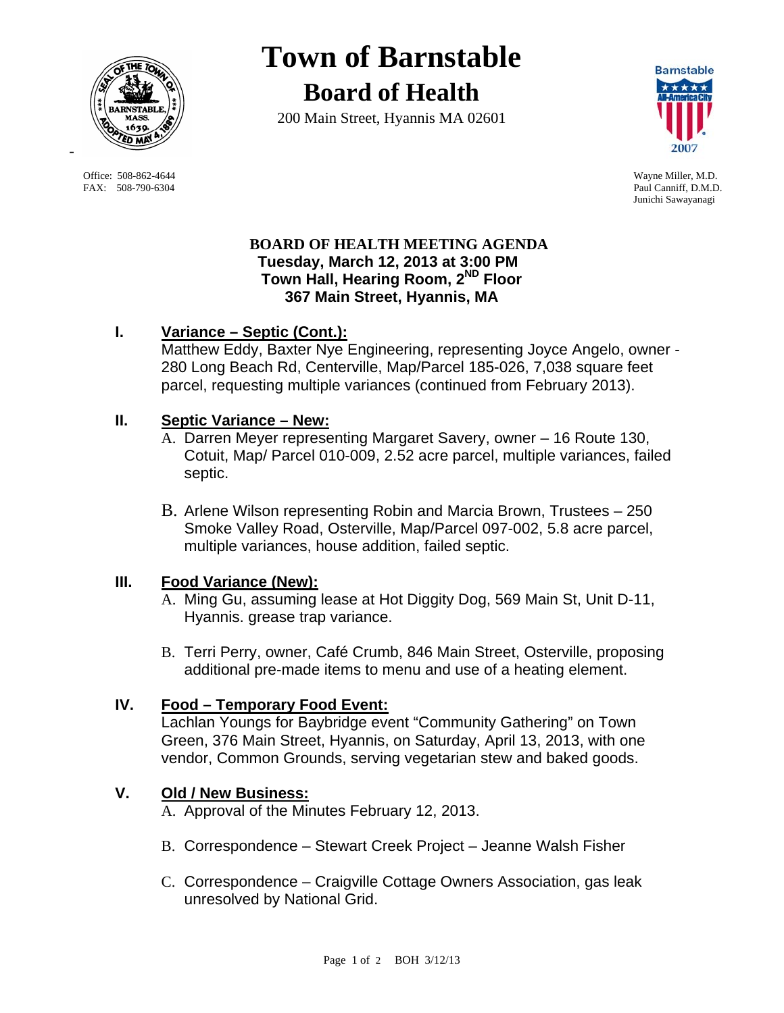

 Office: 508-862-4644 Wayne Miller, M.D. FAX: 508-790-6304 Paul Canniff, D.M.D.

# **Town of Barnstable Board of Health**

200 Main Street, Hyannis MA 02601



Junichi Sawayanagi

#### **BOARD OF HEALTH MEETING AGENDA Tuesday, March 12, 2013 at 3:00 PM Town Hall, Hearing Room, 2ND Floor 367 Main Street, Hyannis, MA**

# **I. Variance – Septic (Cont.):**

Matthew Eddy, Baxter Nye Engineering, representing Joyce Angelo, owner - 280 Long Beach Rd, Centerville, Map/Parcel 185-026, 7,038 square feet parcel, requesting multiple variances (continued from February 2013).

#### **II. Septic Variance – New:**

- A. Darren Meyer representing Margaret Savery, owner 16 Route 130, Cotuit, Map/ Parcel 010-009, 2.52 acre parcel, multiple variances, failed septic.
- B. Arlene Wilson representing Robin and Marcia Brown, Trustees 250 Smoke Valley Road, Osterville, Map/Parcel 097-002, 5.8 acre parcel, multiple variances, house addition, failed septic.

# **III. Food Variance (New):**

- A. Ming Gu, assuming lease at Hot Diggity Dog, 569 Main St, Unit D-11, Hyannis. grease trap variance.
- B. Terri Perry, owner, Café Crumb, 846 Main Street, Osterville, proposing additional pre-made items to menu and use of a heating element.

# **IV. Food – Temporary Food Event:**

Lachlan Youngs for Baybridge event "Community Gathering" on Town Green, 376 Main Street, Hyannis, on Saturday, April 13, 2013, with one vendor, Common Grounds, serving vegetarian stew and baked goods.

# **V. Old / New Business:**

A. Approval of the Minutes February 12, 2013.

- B. Correspondence Stewart Creek Project Jeanne Walsh Fisher
- C. Correspondence Craigville Cottage Owners Association, gas leak unresolved by National Grid.